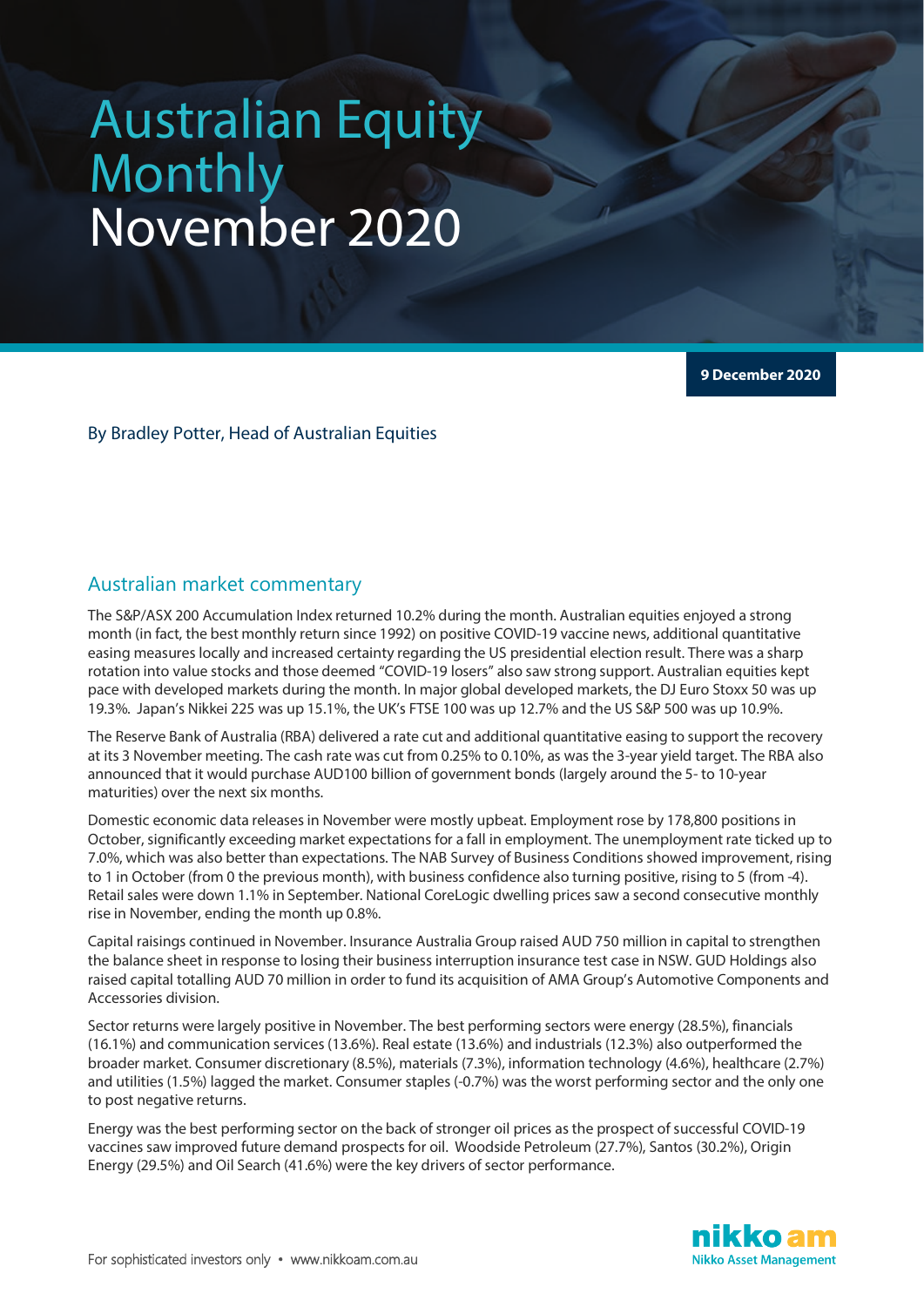# Australian Equity Monthly November 2020

**9 December 2020**

By Bradley Potter, Head of Australian Equities

# Australian market commentary

The S&P/ASX 200 Accumulation Index returned 10.2% during the month. Australian equities enjoyed a strong month (in fact, the best monthly return since 1992) on positive COVID-19 vaccine news, additional quantitative easing measures locally and increased certainty regarding the US presidential election result. There was a sharp rotation into value stocks and those deemed "COVID-19 losers" also saw strong support. Australian equities kept pace with developed markets during the month. In major global developed markets, the DJ Euro Stoxx 50 was up 19.3%. Japan's Nikkei 225 was up 15.1%, the UK's FTSE 100 was up 12.7% and the US S&P 500 was up 10.9%.

The Reserve Bank of Australia (RBA) delivered a rate cut and additional quantitative easing to support the recovery at its 3 November meeting. The cash rate was cut from 0.25% to 0.10%, as was the 3-year yield target. The RBA also announced that it would purchase AUD100 billion of government bonds (largely around the 5- to 10-year maturities) over the next six months.

Domestic economic data releases in November were mostly upbeat. Employment rose by 178,800 positions in October, significantly exceeding market expectations for a fall in employment. The unemployment rate ticked up to 7.0%, which was also better than expectations. The NAB Survey of Business Conditions showed improvement, rising to 1 in October (from 0 the previous month), with business confidence also turning positive, rising to 5 (from -4). Retail sales were down 1.1% in September. National CoreLogic dwelling prices saw a second consecutive monthly rise in November, ending the month up 0.8%.

Capital raisings continued in November. Insurance Australia Group raised AUD 750 million in capital to strengthen the balance sheet in response to losing their business interruption insurance test case in NSW. GUD Holdings also raised capital totalling AUD 70 million in order to fund its acquisition of AMA Group's Automotive Components and Accessories division.

Sector returns were largely positive in November. The best performing sectors were energy (28.5%), financials (16.1%) and communication services (13.6%). Real estate (13.6%) and industrials (12.3%) also outperformed the broader market. Consumer discretionary (8.5%), materials (7.3%), information technology (4.6%), healthcare (2.7%) and utilities (1.5%) lagged the market. Consumer staples (-0.7%) was the worst performing sector and the only one to post negative returns.

Energy was the best performing sector on the back of stronger oil prices as the prospect of successful COVID-19 vaccines saw improved future demand prospects for oil. Woodside Petroleum (27.7%), Santos (30.2%), Origin Energy (29.5%) and Oil Search (41.6%) were the key drivers of sector performance.

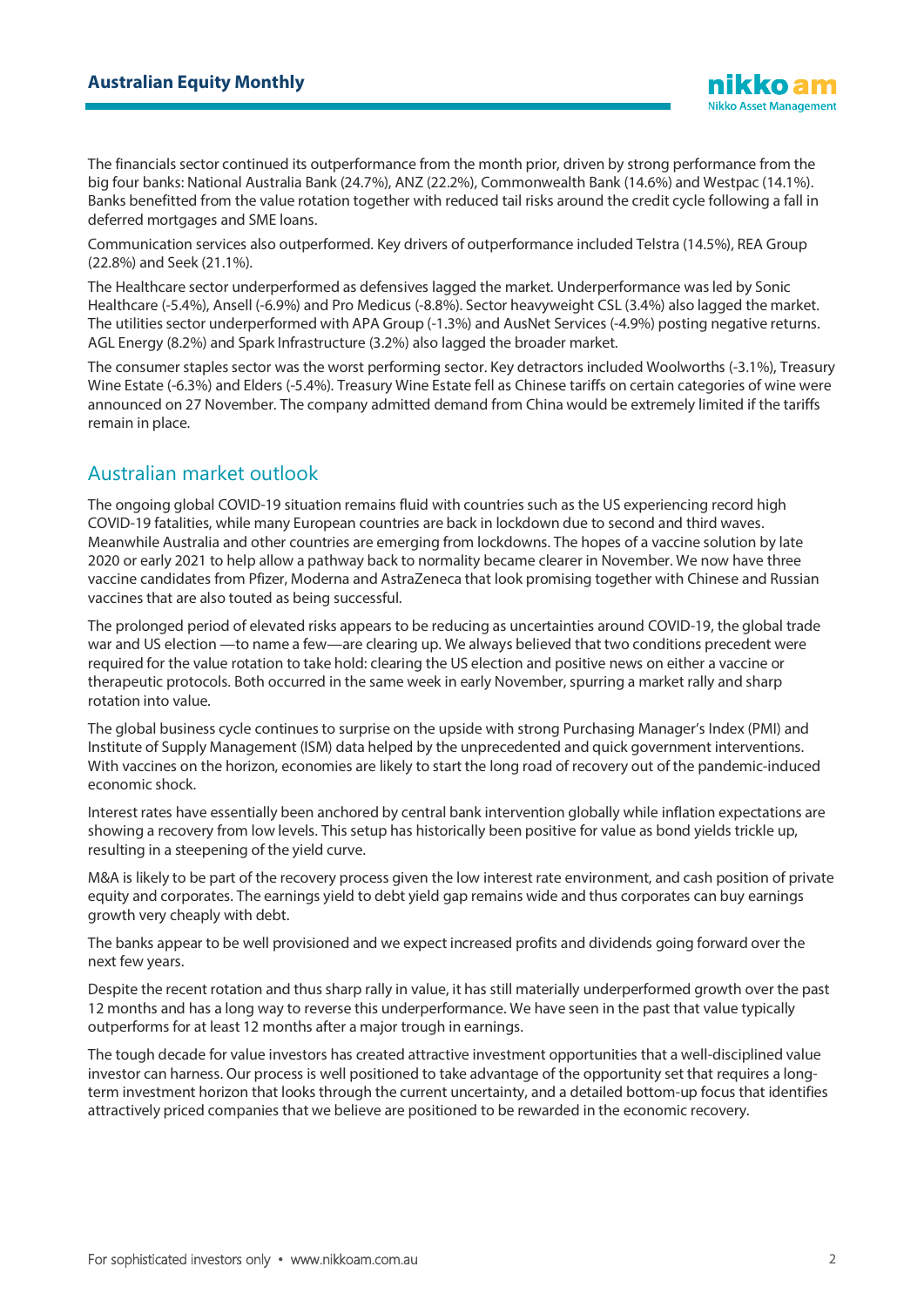The financials sector continued its outperformance from the month prior, driven by strong performance from the big four banks: National Australia Bank (24.7%), ANZ (22.2%), Commonwealth Bank (14.6%) and Westpac (14.1%). Banks benefitted from the value rotation together with reduced tail risks around the credit cycle following a fall in deferred mortgages and SME loans.

Communication services also outperformed. Key drivers of outperformance included Telstra (14.5%), REA Group (22.8%) and Seek (21.1%).

The Healthcare sector underperformed as defensives lagged the market. Underperformance was led by Sonic Healthcare (-5.4%), Ansell (-6.9%) and Pro Medicus (-8.8%). Sector heavyweight CSL (3.4%) also lagged the market. The utilities sector underperformed with APA Group (-1.3%) and AusNet Services (-4.9%) posting negative returns. AGL Energy (8.2%) and Spark Infrastructure (3.2%) also lagged the broader market.

The consumer staples sector was the worst performing sector. Key detractors included Woolworths (-3.1%), Treasury Wine Estate (-6.3%) and Elders (-5.4%). Treasury Wine Estate fell as Chinese tariffs on certain categories of wine were announced on 27 November. The company admitted demand from China would be extremely limited if the tariffs remain in place.

# Australian market outlook

The ongoing global COVID-19 situation remains fluid with countries such as the US experiencing record high COVID-19 fatalities, while many European countries are back in lockdown due to second and third waves. Meanwhile Australia and other countries are emerging from lockdowns. The hopes of a vaccine solution by late 2020 or early 2021 to help allow a pathway back to normality became clearer in November. We now have three vaccine candidates from Pfizer, Moderna and AstraZeneca that look promising together with Chinese and Russian vaccines that are also touted as being successful.

The prolonged period of elevated risks appears to be reducing as uncertainties around COVID-19, the global trade war and US election —to name a few—are clearing up. We always believed that two conditions precedent were required for the value rotation to take hold: clearing the US election and positive news on either a vaccine or therapeutic protocols. Both occurred in the same week in early November, spurring a market rally and sharp rotation into value.

The global business cycle continues to surprise on the upside with strong Purchasing Manager's Index (PMI) and Institute of Supply Management (ISM) data helped by the unprecedented and quick government interventions. With vaccines on the horizon, economies are likely to start the long road of recovery out of the pandemic-induced economic shock.

Interest rates have essentially been anchored by central bank intervention globally while inflation expectations are showing a recovery from low levels. This setup has historically been positive for value as bond yields trickle up, resulting in a steepening of the yield curve.

M&A is likely to be part of the recovery process given the low interest rate environment, and cash position of private equity and corporates. The earnings yield to debt yield gap remains wide and thus corporates can buy earnings growth very cheaply with debt.

The banks appear to be well provisioned and we expect increased profits and dividends going forward over the next few years.

Despite the recent rotation and thus sharp rally in value, it has still materially underperformed growth over the past 12 months and has a long way to reverse this underperformance. We have seen in the past that value typically outperforms for at least 12 months after a major trough in earnings.

The tough decade for value investors has created attractive investment opportunities that a well-disciplined value investor can harness. Our process is well positioned to take advantage of the opportunity set that requires a longterm investment horizon that looks through the current uncertainty, and a detailed bottom-up focus that identifies attractively priced companies that we believe are positioned to be rewarded in the economic recovery.

**Nikko Asset Management**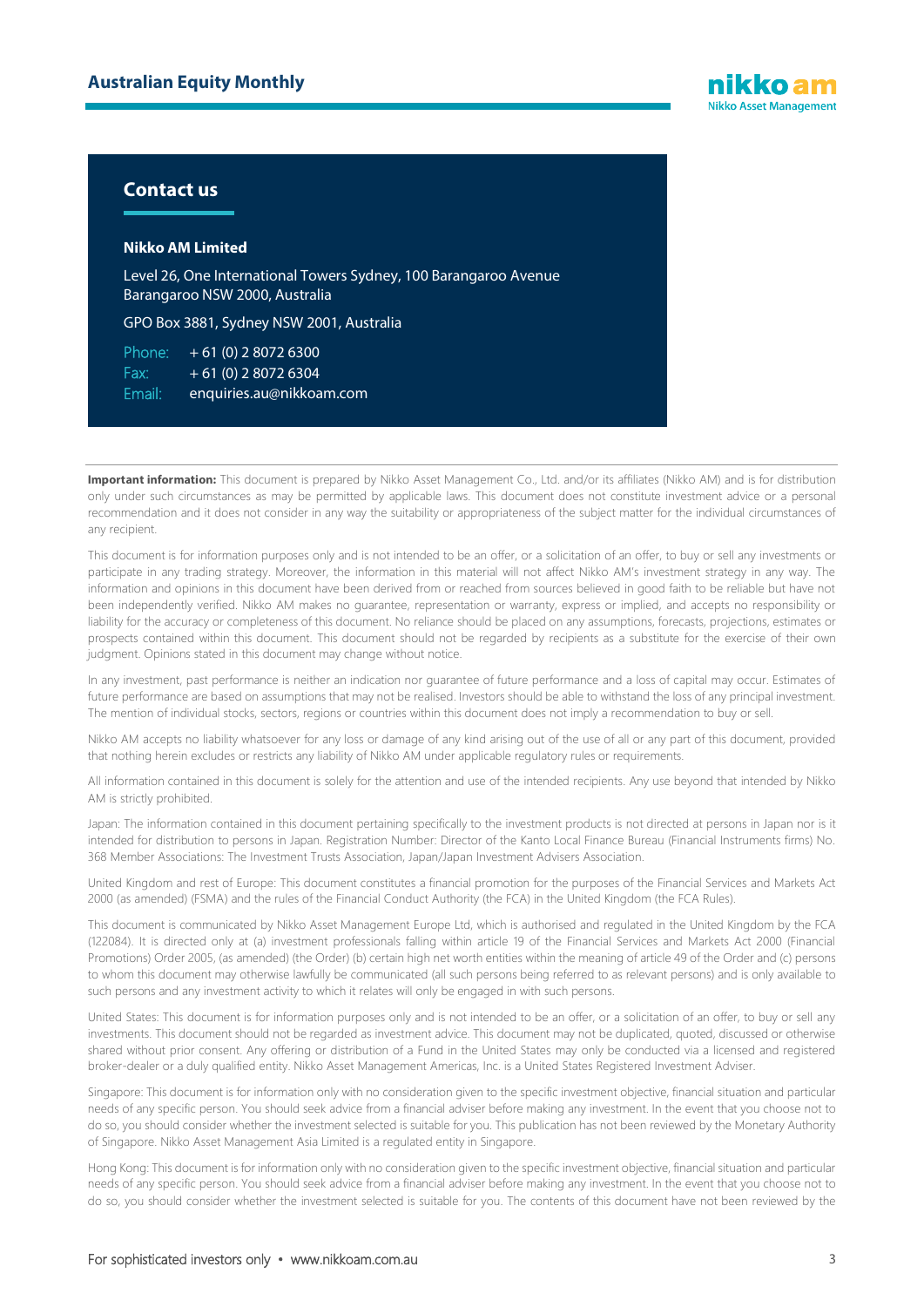

### **Contact us**

#### **Nikko AM Limited**

Level 26, One International Towers Sydney, 100 Barangaroo Avenue Barangaroo NSW 2000, Australia

GPO Box 3881, Sydney NSW 2001, Australia

Phone:  $+61(0)$  2 8072 6300 Fax:  $+ 61 (0) 280726304$ Email: enquiries.au@nikkoam.com

Important information: This document is prepared by Nikko Asset Management Co., Ltd. and/or its affiliates (Nikko AM) and is for distribution only under such circumstances as may be permitted by applicable laws. This document does not constitute investment advice or a personal recommendation and it does not consider in any way the suitability or appropriateness of the subject matter for the individual circumstances of any recipient.

This document is for information purposes only and is not intended to be an offer, or a solicitation of an offer, to buy or sell any investments or participate in any trading strategy. Moreover, the information in this material will not affect Nikko AM's investment strategy in any way. The information and opinions in this document have been derived from or reached from sources believed in good faith to be reliable but have not been independently verified. Nikko AM makes no guarantee, representation or warranty, express or implied, and accepts no responsibility or liability for the accuracy or completeness of this document. No reliance should be placed on any assumptions, forecasts, projections, estimates or prospects contained within this document. This document should not be regarded by recipients as a substitute for the exercise of their own judgment. Opinions stated in this document may change without notice.

In any investment, past performance is neither an indication nor guarantee of future performance and a loss of capital may occur. Estimates of future performance are based on assumptions that may not be realised. Investors should be able to withstand the loss of any principal investment. The mention of individual stocks, sectors, regions or countries within this document does not imply a recommendation to buy or sell.

Nikko AM accepts no liability whatsoever for any loss or damage of any kind arising out of the use of all or any part of this document, provided that nothing herein excludes or restricts any liability of Nikko AM under applicable regulatory rules or requirements.

All information contained in this document is solely for the attention and use of the intended recipients. Any use beyond that intended by Nikko AM is strictly prohibited.

Japan: The information contained in this document pertaining specifically to the investment products is not directed at persons in Japan nor is it intended for distribution to persons in Japan. Registration Number: Director of the Kanto Local Finance Bureau (Financial Instruments firms) No. 368 Member Associations: The Investment Trusts Association, Japan/Japan Investment Advisers Association.

United Kingdom and rest of Europe: This document constitutes a financial promotion for the purposes of the Financial Services and Markets Act 2000 (as amended) (FSMA) and the rules of the Financial Conduct Authority (the FCA) in the United Kingdom (the FCA Rules).

This document is communicated by Nikko Asset Management Europe Ltd, which is authorised and regulated in the United Kingdom by the FCA (122084). It is directed only at (a) investment professionals falling within article 19 of the Financial Services and Markets Act 2000 (Financial Promotions) Order 2005, (as amended) (the Order) (b) certain high net worth entities within the meaning of article 49 of the Order and (c) persons to whom this document may otherwise lawfully be communicated (all such persons being referred to as relevant persons) and is only available to such persons and any investment activity to which it relates will only be engaged in with such persons.

United States: This document is for information purposes only and is not intended to be an offer, or a solicitation of an offer, to buy or sell any investments. This document should not be regarded as investment advice. This document may not be duplicated, quoted, discussed or otherwise shared without prior consent. Any offering or distribution of a Fund in the United States may only be conducted via a licensed and registered broker-dealer or a duly qualified entity. Nikko Asset Management Americas, Inc. is a United States Registered Investment Adviser.

Singapore: This document is for information only with no consideration given to the specific investment objective, financial situation and particular needs of any specific person. You should seek advice from a financial adviser before making any investment. In the event that you choose not to do so, you should consider whether the investment selected is suitable for you. This publication has not been reviewed by the Monetary Authority of Singapore. Nikko Asset Management Asia Limited is a regulated entity in Singapore.

Hong Kong: This document is for information only with no consideration given to the specific investment objective, financial situation and particular needs of any specific person. You should seek advice from a financial adviser before making any investment. In the event that you choose not to do so, you should consider whether the investment selected is suitable for you. The contents of this document have not been reviewed by the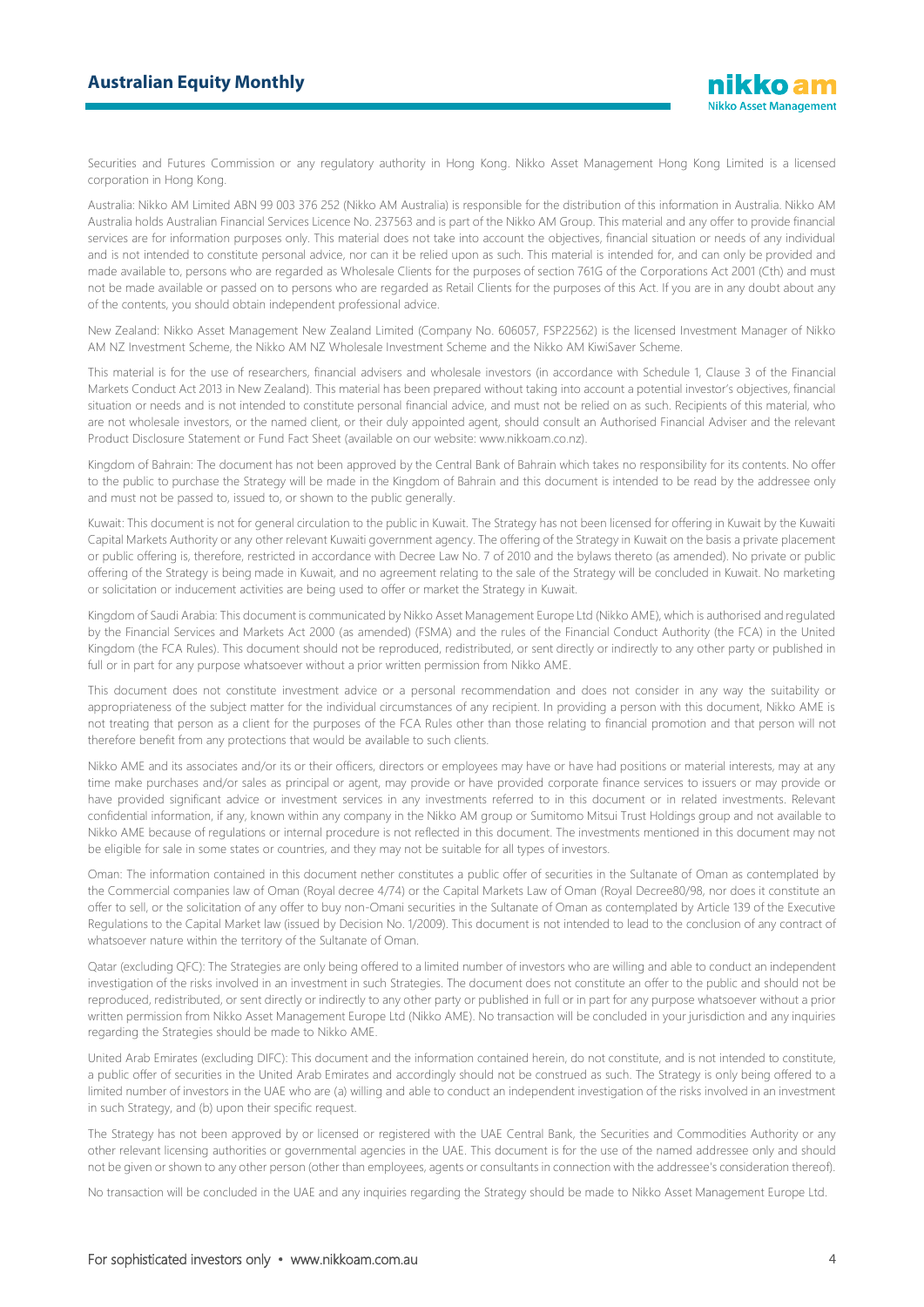### **Australian Equity Monthly**

Securities and Futures Commission or any regulatory authority in Hong Kong. Nikko Asset Management Hong Kong Limited is a licensed corporation in Hong Kong.

Australia: Nikko AM Limited ABN 99 003 376 252 (Nikko AM Australia) is responsible for the distribution of this information in Australia. Nikko AM Australia holds Australian Financial Services Licence No. 237563 and is part of the Nikko AM Group. This material and any offer to provide financial services are for information purposes only. This material does not take into account the objectives, financial situation or needs of any individual and is not intended to constitute personal advice, nor can it be relied upon as such. This material is intended for, and can only be provided and made available to, persons who are regarded as Wholesale Clients for the purposes of section 761G of the Corporations Act 2001 (Cth) and must not be made available or passed on to persons who are regarded as Retail Clients for the purposes of this Act. If you are in any doubt about any of the contents, you should obtain independent professional advice.

New Zealand: Nikko Asset Management New Zealand Limited (Company No. 606057, FSP22562) is the licensed Investment Manager of Nikko AM NZ Investment Scheme, the Nikko AM NZ Wholesale Investment Scheme and the Nikko AM KiwiSaver Scheme.

This material is for the use of researchers, financial advisers and wholesale investors (in accordance with Schedule 1, Clause 3 of the Financial Markets Conduct Act 2013 in New Zealand). This material has been prepared without taking into account a potential investor's objectives, financial situation or needs and is not intended to constitute personal financial advice, and must not be relied on as such. Recipients of this material, who are not wholesale investors, or the named client, or their duly appointed agent, should consult an Authorised Financial Adviser and the relevant Product Disclosure Statement or Fund Fact Sheet (available on our website: www.nikkoam.co.nz).

Kingdom of Bahrain: The document has not been approved by the Central Bank of Bahrain which takes no responsibility for its contents. No offer to the public to purchase the Strategy will be made in the Kingdom of Bahrain and this document is intended to be read by the addressee only and must not be passed to, issued to, or shown to the public generally.

Kuwait: This document is not for general circulation to the public in Kuwait. The Strategy has not been licensed for offering in Kuwait by the Kuwaiti Capital Markets Authority or any other relevant Kuwaiti government agency. The offering of the Strategy in Kuwait on the basis a private placement or public offering is, therefore, restricted in accordance with Decree Law No. 7 of 2010 and the bylaws thereto (as amended). No private or public offering of the Strategy is being made in Kuwait, and no agreement relating to the sale of the Strategy will be concluded in Kuwait. No marketing or solicitation or inducement activities are being used to offer or market the Strategy in Kuwait.

Kingdom of Saudi Arabia: This document is communicated by Nikko Asset Management Europe Ltd (Nikko AME), which is authorised and regulated by the Financial Services and Markets Act 2000 (as amended) (FSMA) and the rules of the Financial Conduct Authority (the FCA) in the United Kingdom (the FCA Rules). This document should not be reproduced, redistributed, or sent directly or indirectly to any other party or published in full or in part for any purpose whatsoever without a prior written permission from Nikko AME.

This document does not constitute investment advice or a personal recommendation and does not consider in any way the suitability or appropriateness of the subject matter for the individual circumstances of any recipient. In providing a person with this document, Nikko AME is not treating that person as a client for the purposes of the FCA Rules other than those relating to financial promotion and that person will not therefore benefit from any protections that would be available to such clients.

Nikko AME and its associates and/or its or their officers, directors or employees may have or have had positions or material interests, may at any time make purchases and/or sales as principal or agent, may provide or have provided corporate finance services to issuers or may provide or have provided significant advice or investment services in any investments referred to in this document or in related investments. Relevant confidential information, if any, known within any company in the Nikko AM group or Sumitomo Mitsui Trust Holdings group and not available to Nikko AME because of regulations or internal procedure is not reflected in this document. The investments mentioned in this document may not be eligible for sale in some states or countries, and they may not be suitable for all types of investors.

Oman: The information contained in this document nether constitutes a public offer of securities in the Sultanate of Oman as contemplated by the Commercial companies law of Oman (Royal decree 4/74) or the Capital Markets Law of Oman (Royal Decree80/98, nor does it constitute an offer to sell, or the solicitation of any offer to buy non-Omani securities in the Sultanate of Oman as contemplated by Article 139 of the Executive Regulations to the Capital Market law (issued by Decision No. 1/2009). This document is not intended to lead to the conclusion of any contract of whatsoever nature within the territory of the Sultanate of Oman.

Qatar (excluding QFC): The Strategies are only being offered to a limited number of investors who are willing and able to conduct an independent investigation of the risks involved in an investment in such Strategies. The document does not constitute an offer to the public and should not be reproduced, redistributed, or sent directly or indirectly to any other party or published in full or in part for any purpose whatsoever without a prior written permission from Nikko Asset Management Europe Ltd (Nikko AME). No transaction will be concluded in your jurisdiction and any inquiries regarding the Strategies should be made to Nikko AME.

United Arab Emirates (excluding DIFC): This document and the information contained herein, do not constitute, and is not intended to constitute, a public offer of securities in the United Arab Emirates and accordingly should not be construed as such. The Strategy is only being offered to a limited number of investors in the UAE who are (a) willing and able to conduct an independent investigation of the risks involved in an investment in such Strategy, and (b) upon their specific request.

The Strategy has not been approved by or licensed or registered with the UAE Central Bank, the Securities and Commodities Authority or any other relevant licensing authorities or governmental agencies in the UAE. This document is for the use of the named addressee only and should not be given or shown to any other person (other than employees, agents or consultants in connection with the addressee's consideration thereof).

No transaction will be concluded in the UAE and any inquiries regarding the Strategy should be made to Nikko Asset Management Europe Ltd.